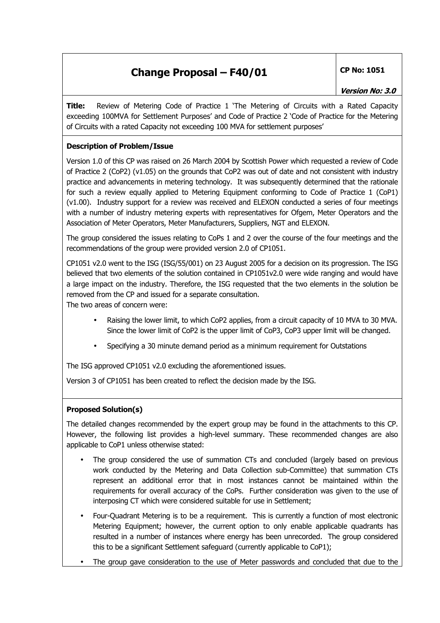**Title:** Review of Metering Code of Practice 1 'The Metering of Circuits with a Rated Capacity exceeding 100MVA for Settlement Purposes' and Code of Practice 2 'Code of Practice for the Metering of Circuits with a rated Capacity not exceeding 100 MVA for settlement purposes'

### **Description of Problem/Issue**

Version 1.0 of this CP was raised on 26 March 2004 by Scottish Power which requested a review of Code of Practice 2 (CoP2) (v1.05) on the grounds that CoP2 was out of date and not consistent with industry practice and advancements in metering technology. It was subsequently determined that the rationale for such a review equally applied to Metering Equipment conforming to Code of Practice 1 (CoP1) (v1.00). Industry support for a review was received and ELEXON conducted a series of four meetings with a number of industry metering experts with representatives for Ofgem, Meter Operators and the Association of Meter Operators, Meter Manufacturers, Suppliers, NGT and ELEXON.

The group considered the issues relating to CoPs 1 and 2 over the course of the four meetings and the recommendations of the group were provided version 2.0 of CP1051.

CP1051 v2.0 went to the ISG (ISG/55/001) on 23 August 2005 for a decision on its progression. The ISG believed that two elements of the solution contained in CP1051v2.0 were wide ranging and would have a large impact on the industry. Therefore, the ISG requested that the two elements in the solution be removed from the CP and issued for a separate consultation.

The two areas of concern were:

- Raising the lower limit, to which CoP2 applies, from a circuit capacity of 10 MVA to 30 MVA. Since the lower limit of CoP2 is the upper limit of CoP3, CoP3 upper limit will be changed.
- Specifying a 30 minute demand period as a minimum requirement for Outstations

The ISG approved CP1051 v2.0 excluding the aforementioned issues.

Version 3 of CP1051 has been created to reflect the decision made by the ISG.

### **Proposed Solution(s)**

The detailed changes recommended by the expert group may be found in the attachments to this CP. However, the following list provides a high-level summary. These recommended changes are also applicable to CoP1 unless otherwise stated:

- The group considered the use of summation CTs and concluded (largely based on previous work conducted by the Metering and Data Collection sub-Committee) that summation CTs represent an additional error that in most instances cannot be maintained within the requirements for overall accuracy of the CoPs. Further consideration was given to the use of interposing CT which were considered suitable for use in Settlement;
- Four-Quadrant Metering is to be a requirement. This is currently a function of most electronic Metering Equipment; however, the current option to only enable applicable quadrants has resulted in a number of instances where energy has been unrecorded. The group considered this to be a significant Settlement safeguard (currently applicable to CoP1);
- The group gave consideration to the use of Meter passwords and concluded that due to the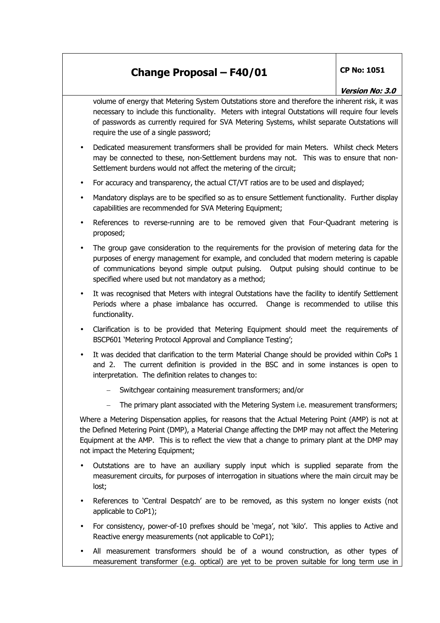volume of energy that Metering System Outstations store and therefore the inherent risk, it was necessary to include this functionality. Meters with integral Outstations will require four levels of passwords as currently required for SVA Metering Systems, whilst separate Outstations will require the use of a single password;

- Dedicated measurement transformers shall be provided for main Meters. Whilst check Meters may be connected to these, non-Settlement burdens may not. This was to ensure that non-Settlement burdens would not affect the metering of the circuit;
- For accuracy and transparency, the actual CT/VT ratios are to be used and displayed;
- Mandatory displays are to be specified so as to ensure Settlement functionality. Further display capabilities are recommended for SVA Metering Equipment;
- References to reverse-running are to be removed given that Four-Quadrant metering is proposed;
- The group gave consideration to the requirements for the provision of metering data for the purposes of energy management for example, and concluded that modern metering is capable of communications beyond simple output pulsing. Output pulsing should continue to be specified where used but not mandatory as a method;
- It was recognised that Meters with integral Outstations have the facility to identify Settlement Periods where a phase imbalance has occurred. Change is recommended to utilise this functionality.
- Clarification is to be provided that Metering Equipment should meet the requirements of BSCP601 'Metering Protocol Approval and Compliance Testing';
- It was decided that clarification to the term Material Change should be provided within CoPs 1 and 2. The current definition is provided in the BSC and in some instances is open to interpretation. The definition relates to changes to:
	- Switchgear containing measurement transformers; and/or
	- The primary plant associated with the Metering System i.e. measurement transformers;

Where a Metering Dispensation applies, for reasons that the Actual Metering Point (AMP) is not at the Defined Metering Point (DMP), a Material Change affecting the DMP may not affect the Metering Equipment at the AMP. This is to reflect the view that a change to primary plant at the DMP may not impact the Metering Equipment;

- Outstations are to have an auxiliary supply input which is supplied separate from the measurement circuits, for purposes of interrogation in situations where the main circuit may be lost;
- References to 'Central Despatch' are to be removed, as this system no longer exists (not applicable to CoP1);
- For consistency, power-of-10 prefixes should be 'mega', not 'kilo'. This applies to Active and Reactive energy measurements (not applicable to CoP1);
- All measurement transformers should be of a wound construction, as other types of measurement transformer (e.g. optical) are yet to be proven suitable for long term use in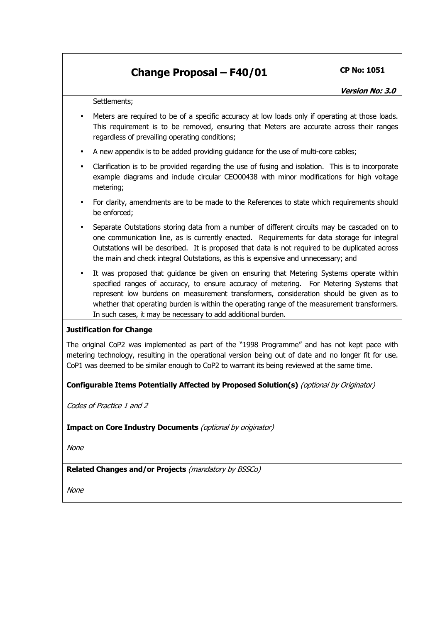Settlements;

- Meters are required to be of a specific accuracy at low loads only if operating at those loads. This requirement is to be removed, ensuring that Meters are accurate across their ranges regardless of prevailing operating conditions;
- A new appendix is to be added providing guidance for the use of multi-core cables;
- Clarification is to be provided regarding the use of fusing and isolation. This is to incorporate example diagrams and include circular CEO00438 with minor modifications for high voltage metering;
- For clarity, amendments are to be made to the References to state which requirements should be enforced;
- Separate Outstations storing data from a number of different circuits may be cascaded on to one communication line, as is currently enacted. Requirements for data storage for integral Outstations will be described. It is proposed that data is not required to be duplicated across the main and check integral Outstations, as this is expensive and unnecessary; and
- It was proposed that guidance be given on ensuring that Metering Systems operate within specified ranges of accuracy, to ensure accuracy of metering. For Metering Systems that represent low burdens on measurement transformers, consideration should be given as to whether that operating burden is within the operating range of the measurement transformers. In such cases, it may be necessary to add additional burden.

### **Justification for Change**

The original CoP2 was implemented as part of the "1998 Programme" and has not kept pace with metering technology, resulting in the operational version being out of date and no longer fit for use. CoP1 was deemed to be similar enough to CoP2 to warrant its being reviewed at the same time.

**Configurable Items Potentially Affected by Proposed Solution(s)** (optional by Originator)

Codes of Practice 1 and 2

**Impact on Core Industry Documents** (optional by originator)

None

**Related Changes and/or Projects** (mandatory by BSSCo)

None